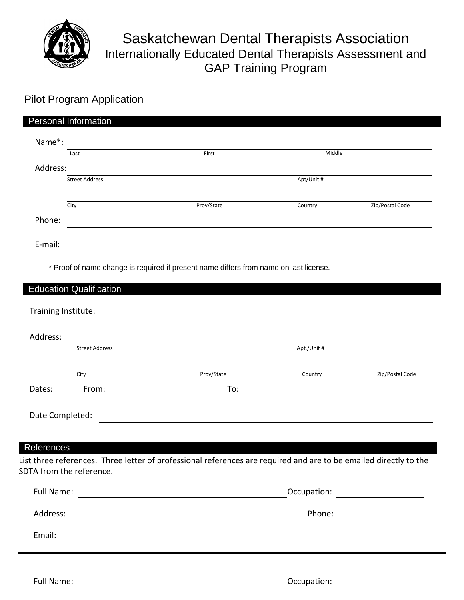

## Saskatchewan Dental Therapists Association Internationally Educated Dental Therapists Assessment and GAP Training Program

## Pilot Program Application

|          | Personal Information  |            |            |                 |
|----------|-----------------------|------------|------------|-----------------|
| Name*:   |                       |            |            |                 |
|          | Last                  | First      | Middle     |                 |
| Address: |                       |            |            |                 |
|          | <b>Street Address</b> |            | Apt/Unit # |                 |
|          |                       |            |            |                 |
|          | City                  | Prov/State | Country    | Zip/Postal Code |
| Phone:   |                       |            |            |                 |
| E-mail:  |                       |            |            |                 |

\* Proof of name change is required if present name differs from name on last license.

| Address:                      |                          |                                                                                                                      |             |                                |
|-------------------------------|--------------------------|----------------------------------------------------------------------------------------------------------------------|-------------|--------------------------------|
|                               | <b>Street Address</b>    |                                                                                                                      | Apt./Unit # |                                |
|                               | City                     | Prov/State                                                                                                           | Country     | Zip/Postal Code                |
| Dates:                        | From:                    | To:                                                                                                                  |             |                                |
| Date Completed:<br>References |                          | List three references. Three letter of professional references are required and are to be emailed directly to the    |             |                                |
|                               | SDTA from the reference. |                                                                                                                      |             |                                |
|                               |                          |                                                                                                                      |             |                                |
| Address:                      |                          | <u> 1980 - Johann Barn, mars ann an t-Amhain Aonaich an t-Aonaich an t-Aonaich ann an t-Aonaich ann an t-Aonaich</u> |             | Phone: <u>________________</u> |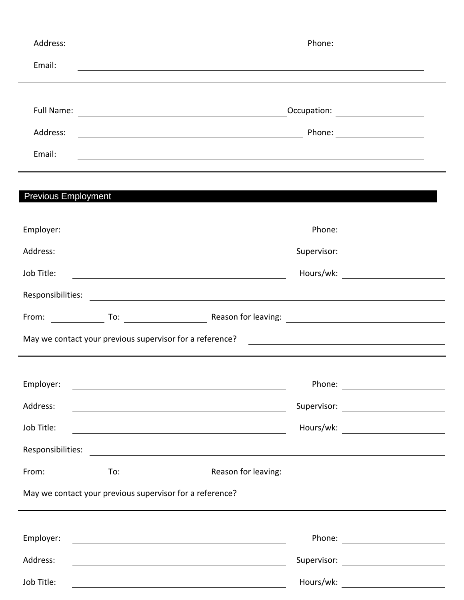| Address:                   |                                                                                                                        |  |  |
|----------------------------|------------------------------------------------------------------------------------------------------------------------|--|--|
| Email:                     | <u> 1980 - Andrea Barbara, amerikana menyebaran banyak bagian dalam banyak bagian dalam banyak bagian dalam bagi</u>   |  |  |
|                            |                                                                                                                        |  |  |
|                            |                                                                                                                        |  |  |
| Address:                   |                                                                                                                        |  |  |
| Email:                     | <u> 1989 - Jan James James Barnett, fransk politik (d. 1989)</u>                                                       |  |  |
| <b>Previous Employment</b> |                                                                                                                        |  |  |
|                            |                                                                                                                        |  |  |
| Employer:                  | <u> 1980 - Johann Barbara, martxa alemaniar argametria (h. 1980).</u>                                                  |  |  |
| Address:                   | <u> 1980 - Johann Barn, mars ann an t-Amhain Aonaich an t-Aonaich an t-Aonaich ann an t-Aonaich ann an t-Aonaich</u>   |  |  |
| Job Title:                 | <u> Andrew Maria (1989)</u>                                                                                            |  |  |
|                            |                                                                                                                        |  |  |
|                            |                                                                                                                        |  |  |
|                            |                                                                                                                        |  |  |
|                            |                                                                                                                        |  |  |
| Employer:                  |                                                                                                                        |  |  |
| Address:                   | <u> 1989 - Johann Stein, marwolaethau a bhann an t-Amhair ann an t-Amhair an t-Amhair an t-Amhair an t-Amhair an</u>   |  |  |
| Job Title:                 | <u> 1989 - Johann Stoff, deutscher Stoffen und der Stoffen und der Stoffen und der Stoffen und der Stoffen und der</u> |  |  |
| Responsibilities:          | <u> 1980 - Andrea Stadt Britain, amerikansk politik (d. 1980)</u>                                                      |  |  |
|                            |                                                                                                                        |  |  |
|                            |                                                                                                                        |  |  |
| Employer:                  |                                                                                                                        |  |  |
|                            |                                                                                                                        |  |  |
| Address:                   | <u> 1989 - Johann Stoff, amerikansk politiker (d. 1989)</u>                                                            |  |  |
| Job Title:                 | <u> 1980 - Johann Barn, fransk politik (f. 1980)</u>                                                                   |  |  |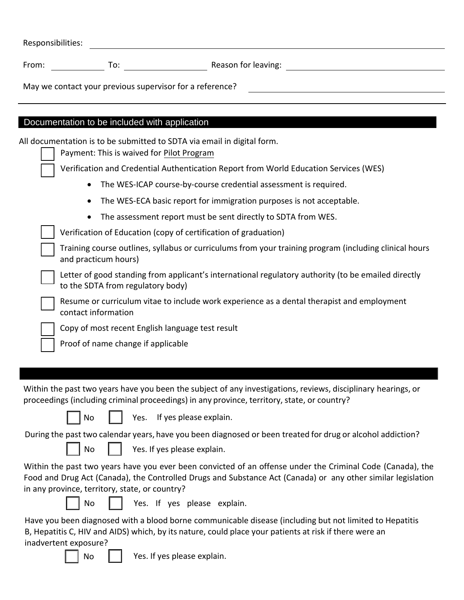| Responsibilities:                                                                                                                                                                                                                                                            |
|------------------------------------------------------------------------------------------------------------------------------------------------------------------------------------------------------------------------------------------------------------------------------|
| From:                                                                                                                                                                                                                                                                        |
| May we contact your previous supervisor for a reference?                                                                                                                                                                                                                     |
|                                                                                                                                                                                                                                                                              |
| Documentation to be included with application                                                                                                                                                                                                                                |
| All documentation is to be submitted to SDTA via email in digital form.<br>Payment: This is waived for Pilot Program                                                                                                                                                         |
| Verification and Credential Authentication Report from World Education Services (WES)                                                                                                                                                                                        |
| The WES-ICAP course-by-course credential assessment is required.                                                                                                                                                                                                             |
| The WES-ECA basic report for immigration purposes is not acceptable.                                                                                                                                                                                                         |
| The assessment report must be sent directly to SDTA from WES.<br>$\bullet$                                                                                                                                                                                                   |
| Verification of Education (copy of certification of graduation)                                                                                                                                                                                                              |
| Training course outlines, syllabus or curriculums from your training program (including clinical hours<br>and practicum hours)                                                                                                                                               |
| Letter of good standing from applicant's international regulatory authority (to be emailed directly<br>to the SDTA from regulatory body)                                                                                                                                     |
| Resume or curriculum vitae to include work experience as a dental therapist and employment<br>contact information                                                                                                                                                            |
| Copy of most recent English language test result                                                                                                                                                                                                                             |
| Proof of name change if applicable                                                                                                                                                                                                                                           |
|                                                                                                                                                                                                                                                                              |
|                                                                                                                                                                                                                                                                              |
| Within the past two years have you been the subject of any investigations, reviews, disciplinary hearings, or<br>proceedings (including criminal proceedings) in any province, territory, state, or country?                                                                 |
| Yes. If yes please explain.<br>No                                                                                                                                                                                                                                            |
| During the past two calendar years, have you been diagnosed or been treated for drug or alcohol addiction?                                                                                                                                                                   |
| Yes. If yes please explain.<br>No                                                                                                                                                                                                                                            |
| Within the past two years have you ever been convicted of an offense under the Criminal Code (Canada), the<br>Food and Drug Act (Canada), the Controlled Drugs and Substance Act (Canada) or any other similar legislation<br>in any province, territory, state, or country? |
| Yes. If yes please explain.<br>No                                                                                                                                                                                                                                            |
| Have you been diagnosed with a blood borne communicable disease (including but not limited to Hepatitis<br>B, Hepatitis C, HIV and AIDS) which, by its nature, could place your patients at risk if there were an                                                            |
| inadvertent exposure?<br>Yes. If yes please explain.<br>No                                                                                                                                                                                                                   |